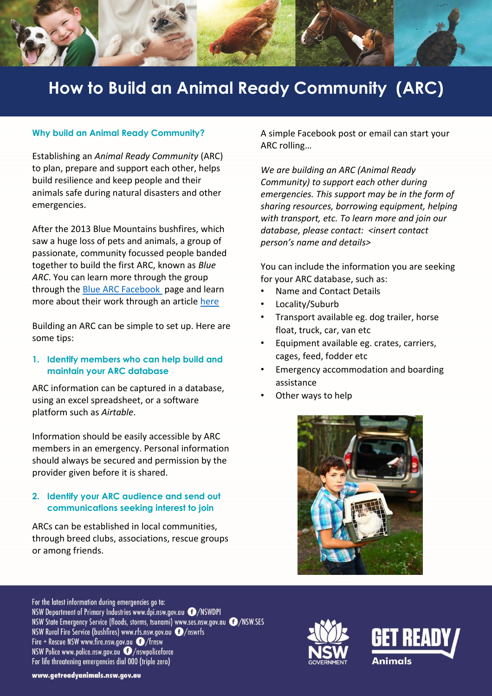

# **How to Build an Animal Ready Community (ARC)**

#### **Why build an Animal Ready Community?**

Establishing an *Animal Ready Community* (ARC) to plan, prepare and support each other, helps build resilience and keep people and their animals safe during natural disasters and other emergencies.

After the 2013 Blue Mountains bushfires, which saw a huge loss of pets and animals, a group of passionate, community focussed people banded together to build the first ARC, known as *Blue ARC*. You can learn more through the group through the [Blue ARC Facebook](https://www.facebook.com/groups/1045349658940538/) page and learn more about their work through an article [here](https://knowledge.aidr.org.au/resources/ajem-oct-2017-building-an-animal-ready-community-a-community-led-initiative-to-improve-preparedness-planning-and-safety-for-animals-and-their-owners/)

Building an ARC can be simple to set up. Here are some tips:

## **1. Identify members who can help build and maintain your ARC database**

ARC information can be captured in a database, using an excel spreadsheet, or a software platform such as *Airtable*.

Information should be easily accessible by ARC members in an emergency. Personal information should always be secured and permission by the provider given before it is shared.

## **2. Identify your ARC audience and send out communications seeking interest to join**

ARCs can be established in local communities, through breed clubs, associations, rescue groups or among friends.

A simple Facebook post or email can start your ARC rolling…

*We are building an ARC (Animal Ready Community) to support each other during emergencies. This support may be in the form of sharing resources, borrowing equipment, helping with transport, etc. To learn more and join our database, please contact: <insert contact person's name and details>*

You can include the information you are seeking for your ARC database, such as:

- Name and Contact Details
- Locality/Suburb
- Transport available eg. dog trailer, horse float, truck, car, van etc
- Equipment available eg. crates, carriers, cages, feed, fodder etc
- Emergency accommodation and boarding assistance
- Other ways to help



For the latest information during emergencies go to: NSW Department of Primary Industries www.dpi.nsw.gov.au @/NSWDPI NSW State Emergency Service (floods, storms, tsunami) www.ses.nsw.gov.au @/NSW.SES NSW Rural Fire Service (bushfires) www.rfs.nsw.gov.au @/nswrfs Fire + Rescue NSW www.fire.nsw.gov.au @/frnsw NSW Police www.police.nsw.gov.au  $\bullet$ /nswpoliceforce For life threatening emergencies dial 000 (triple zero)





www.getreadyanimals.nsw.gov.au